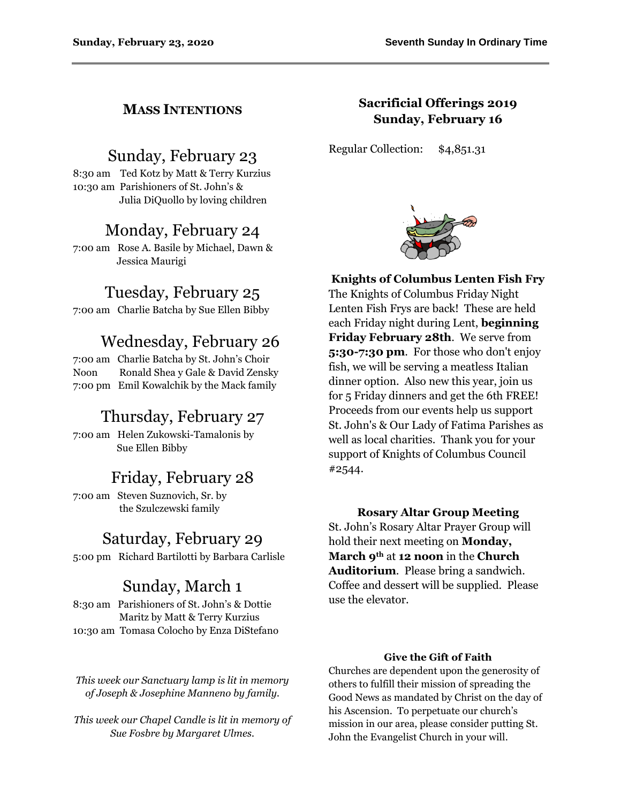## **MASS INTENTIONS**

# Sunday, February 23

8:30 am Ted Kotz by Matt & Terry Kurzius 10:30 am Parishioners of St. John's & Julia DiQuollo by loving children

## Monday, February 24

7:00 am Rose A. Basile by Michael, Dawn & Jessica Maurigi

# Tuesday, February 25

7:00 am Charlie Batcha by Sue Ellen Bibby

# Wednesday, February 26

7:00 am Charlie Batcha by St. John's Choir Noon Ronald Shea y Gale & David Zensky 7:00 pm Emil Kowalchik by the Mack family

## Thursday, February 27

7:00 am Helen Zukowski-Tamalonis by Sue Ellen Bibby

# Friday, February 28

7:00 am Steven Suznovich, Sr. by the Szulczewski family

## Saturday, February 29

5:00 pm Richard Bartilotti by Barbara Carlisle

## Sunday, March 1

8:30 am Parishioners of St. John's & Dottie Maritz by Matt & Terry Kurzius 10:30 am Tomasa Colocho by Enza DiStefano

*This week our Sanctuary lamp is lit in memory of Joseph & Josephine Manneno by family.*

*This week our Chapel Candle is lit in memory of Sue Fosbre by Margaret Ulmes.*

## **Sacrificial Offerings 2019 Sunday, February 16**

Regular Collection: \$4,851.31



**Knights of Columbus Lenten Fish Fry** The Knights of Columbus Friday Night Lenten Fish Frys are back! These are held each Friday night during Lent, **beginning Friday February 28th**. We serve from **5:30-7:30 pm**. For those who don't enjoy fish, we will be serving a meatless Italian dinner option. Also new this year, join us for 5 Friday dinners and get the 6th FREE! Proceeds from our events help us support St. John's & Our Lady of Fatima Parishes as well as local charities. Thank you for your support of Knights of Columbus Council #2544.

## **Rosary Altar Group Meeting**

St. John's Rosary Altar Prayer Group will hold their next meeting on **Monday, March 9th** at **12 noon** in the **Church Auditorium**. Please bring a sandwich. Coffee and dessert will be supplied. Please use the elevator.

### **Give the Gift of Faith**

Churches are dependent upon the generosity of others to fulfill their mission of spreading the Good News as mandated by Christ on the day of his Ascension. To perpetuate our church's mission in our area, please consider putting St. John the Evangelist Church in your will.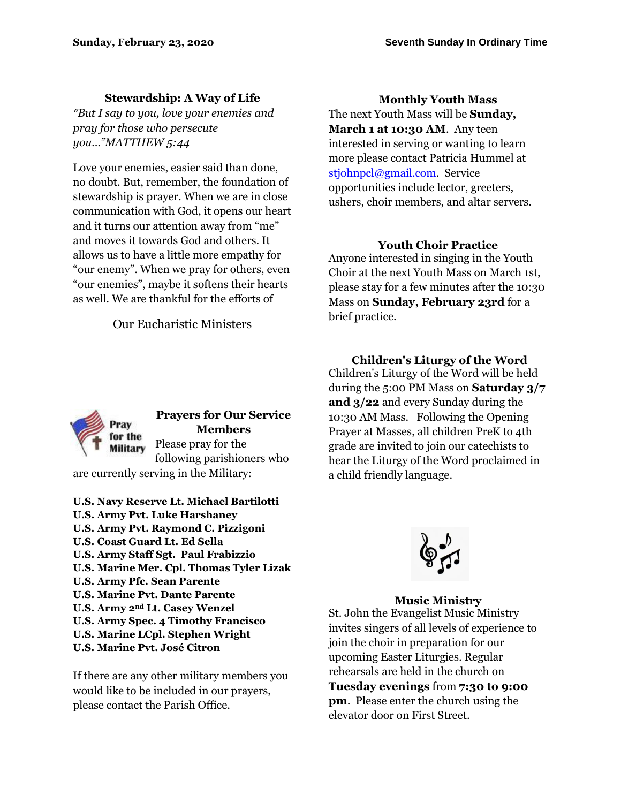## **Stewardship: A Way of Life**

*"But I say to you, love your enemies and pray for those who persecute you…"MATTHEW 5:44*

Love your enemies, easier said than done, no doubt. But, remember, the foundation of stewardship is prayer. When we are in close communication with God, it opens our heart and it turns our attention away from "me" and moves it towards God and others. It allows us to have a little more empathy for "our enemy". When we pray for others, even "our enemies", maybe it softens their hearts as well. We are thankful for the efforts of

Our Eucharistic Ministers

**Monthly Youth Mass** The next Youth Mass will be **Sunday, March 1 at 10:30 AM**. Any teen interested in serving or wanting to learn more please contact Patricia Hummel at [stjohnpcl@gmail.com.](mailto:stjohnpcl@gmail.com) Service opportunities include lector, greeters, ushers, choir members, and altar servers.

### **Youth Choir Practice**

Anyone interested in singing in the Youth Choir at the next Youth Mass on March 1st, please stay for a few minutes after the 10:30 Mass on **Sunday, February 23rd** for a brief practice.

for the **Military** 

**Prayers for Our Service Members** Please pray for the following parishioners who

are currently serving in the Military:

**U.S. Navy Reserve Lt. Michael Bartilotti U.S. Army Pvt. Luke Harshaney U.S. Army Pvt. Raymond C. Pizzigoni U.S. Coast Guard Lt. Ed Sella U.S. Army Staff Sgt. Paul Frabizzio U.S. Marine Mer. Cpl. Thomas Tyler Lizak U.S. Army Pfc. Sean Parente U.S. Marine Pvt. Dante Parente U.S. Army 2nd Lt. Casey Wenzel U.S. Army Spec. 4 Timothy Francisco U.S. Marine LCpl. Stephen Wright U.S. Marine Pvt. José Citron**

If there are any other military members you would like to be included in our prayers, please contact the Parish Office.

**Children's Liturgy of the Word** Children's Liturgy of the Word will be held during the 5:00 PM Mass on **Saturday 3/7 and 3/22** and every Sunday during the 10:30 AM Mass. Following the Opening Prayer at Masses, all children PreK to 4th grade are invited to join our catechists to hear the Liturgy of the Word proclaimed in a child friendly language.



## **Music Ministry**

St. John the Evangelist Music Ministry invites singers of all levels of experience to join the choir in preparation for our upcoming Easter Liturgies. Regular rehearsals are held in the church on **Tuesday evenings** from **7:30 to 9:00 pm**. Please enter the church using the elevator door on First Street.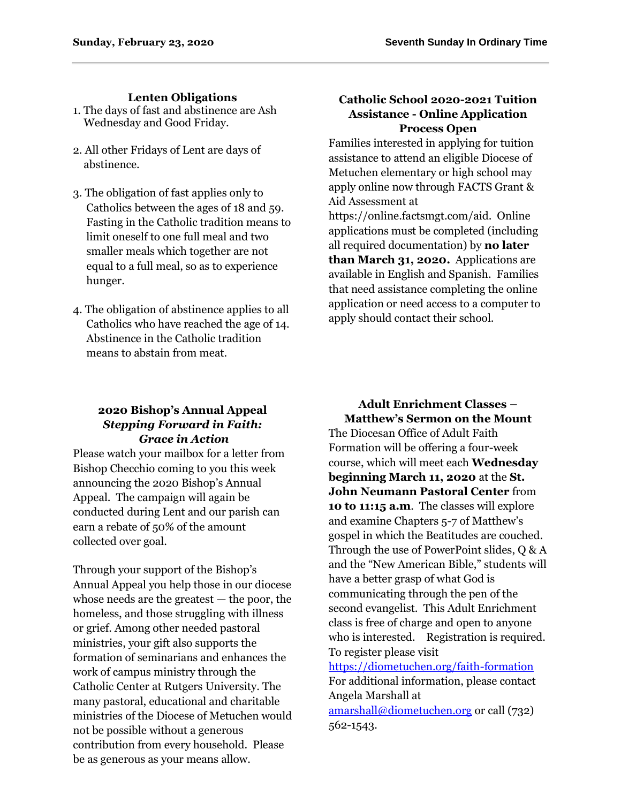### **Lenten Obligations**

- 1. The days of fast and abstinence are Ash Wednesday and Good Friday.
- 2. All other Fridays of Lent are days of abstinence.
- 3. The obligation of fast applies only to Catholics between the ages of 18 and 59. Fasting in the Catholic tradition means to limit oneself to one full meal and two smaller meals which together are not equal to a full meal, so as to experience hunger.
- 4. The obligation of abstinence applies to all Catholics who have reached the age of 14. Abstinence in the Catholic tradition means to abstain from meat.

## **Catholic School 2020-2021 Tuition Assistance - Online Application Process Open**

Families interested in applying for tuition assistance to attend an eligible Diocese of Metuchen elementary or high school may apply online now through FACTS Grant & Aid Assessment at

https://online.factsmgt.com/aid. Online applications must be completed (including all required documentation) by **no later than March 31, 2020.** Applications are available in English and Spanish. Families that need assistance completing the online application or need access to a computer to apply should contact their school.

## **2020 Bishop's Annual Appeal** *Stepping Forward in Faith: Grace in Action*

Please watch your mailbox for a letter from Bishop Checchio coming to you this week announcing the 2020 Bishop's Annual Appeal. The campaign will again be conducted during Lent and our parish can earn a rebate of 50% of the amount collected over goal.

Through your support of the Bishop's Annual Appeal you help those in our diocese whose needs are the greatest — the poor, the homeless, and those struggling with illness or grief. Among other needed pastoral ministries, your gift also supports the formation of seminarians and enhances the work of campus ministry through the Catholic Center at Rutgers University. The many pastoral, educational and charitable ministries of the Diocese of Metuchen would not be possible without a generous contribution from every household. Please be as generous as your means allow.

**Adult Enrichment Classes – Matthew's Sermon on the Mount** The Diocesan Office of Adult Faith Formation will be offering a four-week course, which will meet each **Wednesday beginning March 11, 2020** at the **St. John Neumann Pastoral Center** from **10 to 11:15 a.m**. The classes will explore and examine Chapters 5-7 of Matthew's gospel in which the Beatitudes are couched. Through the use of PowerPoint slides, Q & A and the "New American Bible," students will have a better grasp of what God is communicating through the pen of the second evangelist. This Adult Enrichment class is free of charge and open to anyone who is interested. Registration is required. To register please visit

<https://diometuchen.org/faith-formation> For additional information, please contact Angela Marshall at [amarshall@diometuchen.org](mailto:amarshall@diometuchen.org) or call (732) 562-1543.